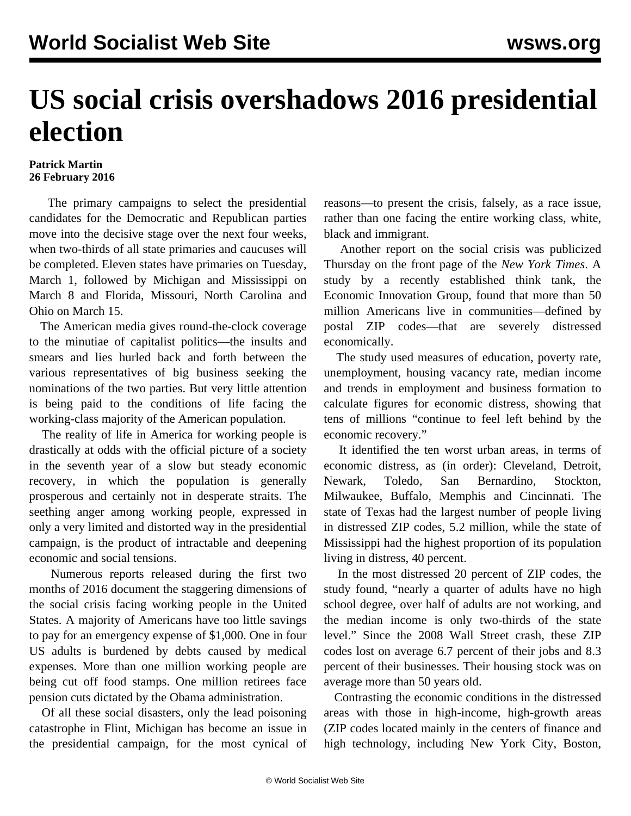## **US social crisis overshadows 2016 presidential election**

## **Patrick Martin 26 February 2016**

 The primary campaigns to select the presidential candidates for the Democratic and Republican parties move into the decisive stage over the next four weeks, when two-thirds of all state primaries and caucuses will be completed. Eleven states have primaries on Tuesday, March 1, followed by Michigan and Mississippi on March 8 and Florida, Missouri, North Carolina and Ohio on March 15.

 The American media gives round-the-clock coverage to the minutiae of capitalist politics—the insults and smears and lies hurled back and forth between the various representatives of big business seeking the nominations of the two parties. But very little attention is being paid to the conditions of life facing the working-class majority of the American population.

 The reality of life in America for working people is drastically at odds with the official picture of a society in the seventh year of a slow but steady economic recovery, in which the population is generally prosperous and certainly not in desperate straits. The seething anger among working people, expressed in only a very limited and distorted way in the presidential campaign, is the product of intractable and deepening economic and social tensions.

 Numerous reports released during the first two months of 2016 document the staggering dimensions of the social crisis facing working people in the United States. A majority of Americans have [too little savings](/en/articles/2016/01/09/surv-j09.html) to pay for an emergency expense of \$1,000. One in four US adults is [burdened by debts](/en/articles/2016/01/08/kais-j08.html) caused by medical expenses. More than one million working people are being [cut off food stamps.](/en/articles/2016/02/02/snap-j01.html) One million retirees face [pension cuts](/en/articles/2016/02/09/fein-f09.html) dictated by the Obama administration.

 Of all these social disasters, only the lead poisoning catastrophe in Flint, Michigan has become an issue in the presidential campaign, for the most cynical of reasons—to present the crisis, falsely, as a race issue, rather than one facing the entire working class, white, black and immigrant.

 Another report on the social crisis was publicized Thursday on the front page of the *New York Times*. A study by a recently established think tank, the Economic Innovation Group, found that more than 50 million Americans live in communities—defined by postal ZIP codes—that are severely distressed economically.

 The study used measures of education, poverty rate, unemployment, housing vacancy rate, median income and trends in employment and business formation to calculate figures for economic distress, showing that tens of millions "continue to feel left behind by the economic recovery."

 It identified the ten worst urban areas, in terms of economic distress, as (in order): Cleveland, Detroit, Newark, Toledo, San Bernardino, Stockton, Milwaukee, Buffalo, Memphis and Cincinnati. The state of Texas had the largest number of people living in distressed ZIP codes, 5.2 million, while the state of Mississippi had the highest proportion of its population living in distress, 40 percent.

 In the most distressed 20 percent of ZIP codes, the study found, "nearly a quarter of adults have no high school degree, over half of adults are not working, and the median income is only two-thirds of the state level." Since the 2008 Wall Street crash, these ZIP codes lost on average 6.7 percent of their jobs and 8.3 percent of their businesses. Their housing stock was on average more than 50 years old.

 Contrasting the economic conditions in the distressed areas with those in high-income, high-growth areas (ZIP codes located mainly in the centers of finance and high technology, including New York City, Boston,